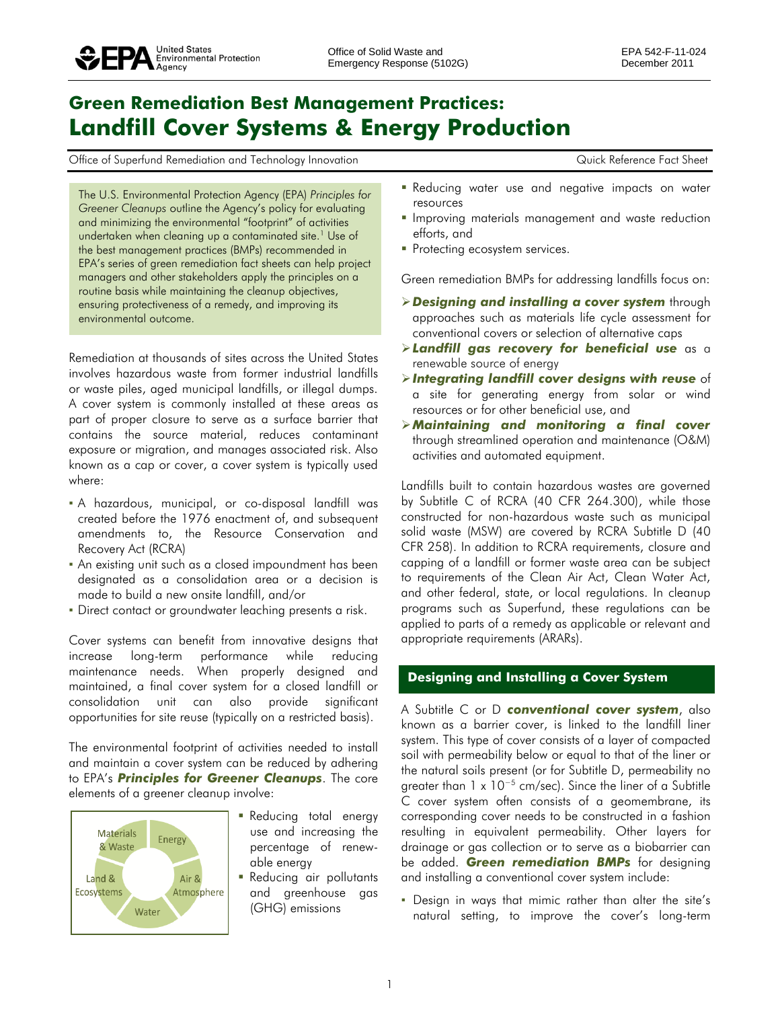# **Green Remediation Best Management Practices: Landfill Cover Systems & Energy Production**

Office of Superfund Remediation and Technology Innovation Commence Controller Material According Controller Reference Fact Sheet

The U.S. Environmental Protection Agency (EPA) *Principles for Greener Cleanups* outline the Agency's policy for evaluating and minimizing the environmental "footprint" of activities undertaken when cleaning up a contaminated site.<sup>1</sup> Use of the best management practices (BMPs) recommended in EPA's series of green remediation fact sheets can help project managers and other stakeholders apply the principles on a routine basis while maintaining the cleanup objectives, ensuring protectiveness of a remedy, and improving its environmental outcome.

Remediation at thousands of sites across the United States involves hazardous waste from former industrial landfills or waste piles, aged municipal landfills, or illegal dumps. A cover system is commonly installed at these areas as part of proper closure to serve as a surface barrier that contains the source material, reduces contaminant exposure or migration, and manages associated risk. Also known as a cap or cover, a cover system is typically used where:

- A hazardous, municipal, or co-disposal landfill was created before the 1976 enactment of, and subsequent amendments to, the Resource Conservation and Recovery Act (RCRA)
- An existing unit such as a closed impoundment has been designated as a consolidation area or a decision is made to build a new onsite landfill, and/or
- Direct contact or groundwater leaching presents a risk.

Cover systems can benefit from innovative designs that increase long-term performance while reducing maintenance needs. When properly designed and maintained, a final cover system for a closed landfill or consolidation unit can also provide significant opportunities for site reuse (typically on a restricted basis).

The environmental footprint of activities needed to install and maintain a cover system can be reduced by adhering to EPA's *Principles for Greener Cleanups*. The core elements of a greener cleanup involve:



- Reducing total energy use and increasing the percentage of renewable energy
- **Reducing air pollutants** and greenhouse gas (GHG) emissions
- **Reducing water use and negative impacts on water** resources
- **Improving materials management and waste reduction** efforts, and
- Protecting ecosystem services.

Green remediation BMPs for addressing landfills focus on:

- *Designing and installing a cover system* through approaches such as materials life cycle assessment for conventional covers or selection of alternative caps
- *Landfill gas recovery for beneficial use* as a renewable source of energy
- *Integrating landfill cover designs with reuse* of a site for generating energy from solar or wind resources or for other beneficial use, and
- *Maintaining and monitoring a final cover*  through streamlined operation and maintenance (O&M) activities and automated equipment.

Landfills built to contain hazardous wastes are governed by Subtitle C of RCRA (40 CFR 264.300), while those constructed for non-hazardous waste such as municipal solid waste (MSW) are covered by RCRA Subtitle D (40 CFR 258). In addition to RCRA requirements, closure and capping of a landfill or former waste area can be subject to requirements of the Clean Air Act, Clean Water Act, and other federal, state, or local regulations. In cleanup programs such as Superfund, these regulations can be applied to parts of a remedy as applicable or relevant and appropriate requirements (ARARs).

## **Designing and Installing a Cover System**

A Subtitle C or D *conventional cover system*, also known as a barrier cover, is linked to the landfill liner system. This type of cover consists of a layer of compacted soil with permeability below or equal to that of the liner or the natural soils present (or for Subtitle D, permeability no greater than  $1 \times 10^{-5}$  cm/sec). Since the liner of a Subtitle C cover system often consists of a geomembrane, its corresponding cover needs to be constructed in a fashion resulting in equivalent permeability. Other layers for drainage or gas collection or to serve as a biobarrier can be added. *Green remediation BMPs* for designing and installing a conventional cover system include:

▪ Design in ways that mimic rather than alter the site's natural setting, to improve the cover's long-term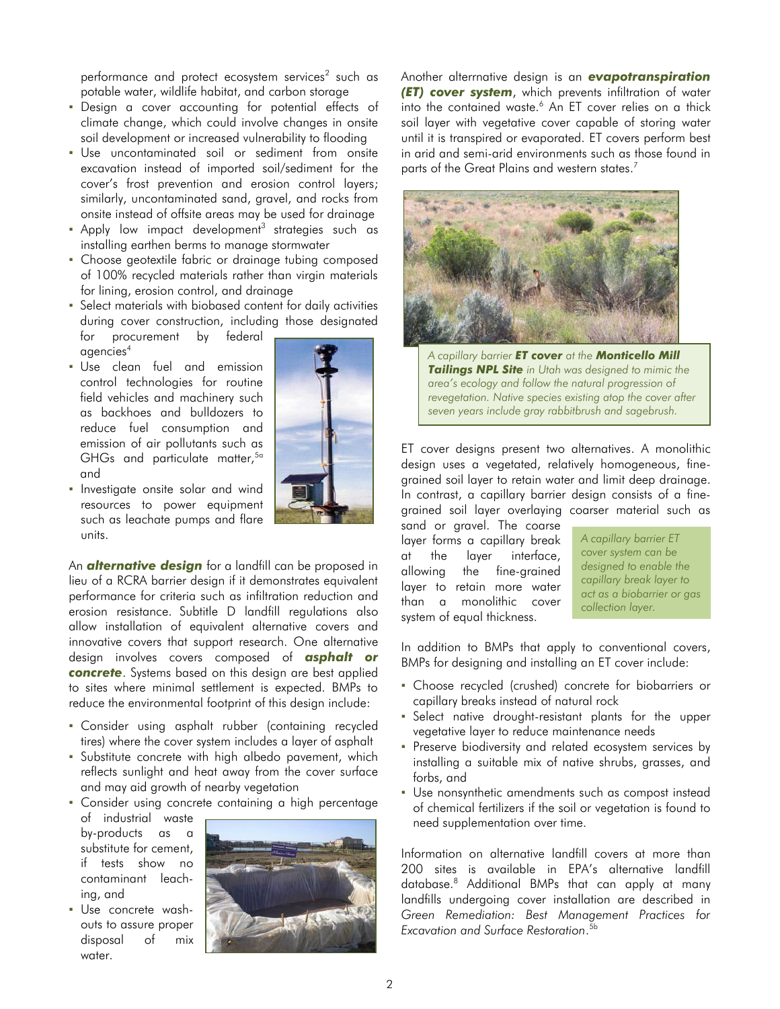performance and protect ecosystem services<sup>2</sup> such as potable water, wildlife habitat, and carbon storage

- Design a cover accounting for potential effects of climate change, which could involve changes in onsite soil development or increased vulnerability to flooding
- Use uncontaminated soil or sediment from onsite excavation instead of imported soil/sediment for the cover's frost prevention and erosion control layers; similarly, uncontaminated sand, gravel, and rocks from onsite instead of offsite areas may be used for drainage
- $\blacksquare$  Apply low impact development $^3$  strategies such as installing earthen berms to manage stormwater
- Choose geotextile fabric or drainage tubing composed of 100% recycled materials rather than virgin materials for lining, erosion control, and drainage
- Select materials with biobased content for daily activities during cover construction, including those designated for procurement by federal

agencies<sup>4</sup>

- Use clean fuel and emission control technologies for routine field vehicles and machinery such as backhoes and bulldozers to reduce fuel consumption and emission of air pollutants such as GHGs and particulate matter,<sup>5a</sup> and
- **·** Investigate onsite solar and wind resources to power equipment such as leachate pumps and flare units.

An *alternative design* for a landfill can be proposed in lieu of a RCRA barrier design if it demonstrates equivalent performance for criteria such as infiltration reduction and erosion resistance. Subtitle D landfill regulations also allow installation of equivalent alternative covers and innovative covers that support research. One alternative design involves covers composed of *asphalt or concrete*. Systems based on this design are best applied to sites where minimal settlement is expected. BMPs to reduce the environmental footprint of this design include:

- Consider using asphalt rubber (containing recycled tires) where the cover system includes a layer of asphalt
- Substitute concrete with high albedo pavement, which reflects sunlight and heat away from the cover surface and may aid growth of nearby vegetation

▪ Consider using concrete containing a high percentage

- of industrial waste by-products as substitute for cement, if tests show no contaminant leaching, and
- Use concrete washouts to assure proper disposal of mix water.



Another alterrnative design is an *evapotranspiration (ET) cover system*, which prevents infiltration of water into the contained waste.<sup>6</sup> An ET cover relies on a thick soil layer with vegetative cover capable of storing water until it is transpired or evaporated. ET covers perform best in arid and semi-arid environments such as those found in parts of the Great Plains and western states. 7



*A capillary barrier ET cover at the Monticello Mill Tailings NPL Site in Utah was designed to mimic the area's ecology and follow the natural progression of revegetation. Native species existing atop the cover after seven years include gray rabbitbrush and sagebrush.*

ET cover designs present two alternatives. A monolithic design uses a vegetated, relatively homogeneous, finegrained soil layer to retain water and limit deep drainage. In contrast, a capillary barrier design consists of a finegrained soil layer overlaying coarser material such as

sand or gravel. The coarse layer forms a capillary break at the layer interface, allowing the fine-grained layer to retain more water than a monolithic cover system of equal thickness.

*A capillary barrier ET cover system can be designed to enable the capillary break layer to act as a biobarrier or gas collection layer.*

In addition to BMPs that apply to conventional covers, BMPs for designing and installing an ET cover include:

- Choose recycled (crushed) concrete for biobarriers or capillary breaks instead of natural rock
- Select native drought-resistant plants for the upper vegetative layer to reduce maintenance needs
- Preserve biodiversity and related ecosystem services by installing a suitable mix of native shrubs, grasses, and forbs, and
- Use nonsynthetic amendments such as compost instead of chemical fertilizers if the soil or vegetation is found to need supplementation over time.

Information on alternative landfill covers at more than 200 sites is available in EPA's alternative landfill database. <sup>8</sup> Additional BMPs that can apply at many landfills undergoing cover installation are described in *Green Remediation: Best Management Practices for Excavation and Surface Restoration*. 5b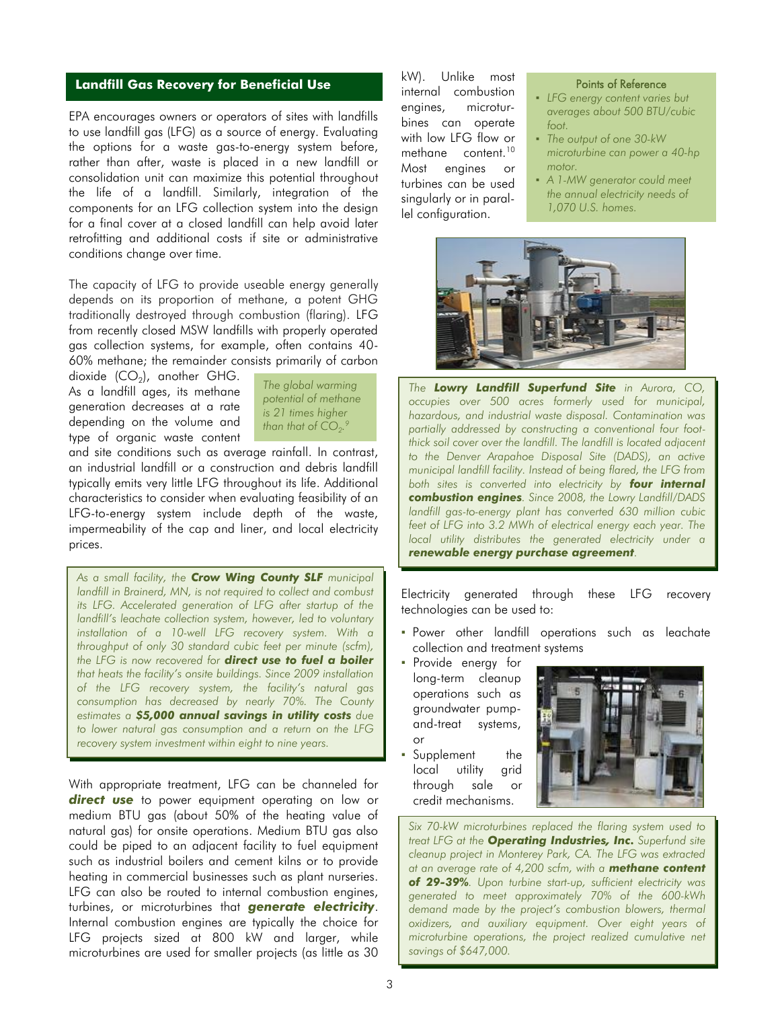### **Landfill Gas Recovery for Beneficial Use Example 2016 Reference Points of Reference**

EPA encourages owners or operators of sites with landfills to use landfill gas (LFG) as a source of energy. Evaluating the options for a waste gas-to-energy system before, rather than after, waste is placed in a new landfill or consolidation unit can maximize this potential throughout the life of a landfill. Similarly, integration of the components for an LFG collection system into the design for a final cover at a closed landfill can help avoid later retrofitting and additional costs if site or administrative conditions change over time.

The capacity of LFG to provide useable energy generally depends on its proportion of methane, a potent GHG traditionally destroyed through combustion (flaring). LFG from recently closed MSW landfills with properly operated gas collection systems, for example, often contains 40- 60% methane; the remainder consists primarily of carbon

dioxide (CO $_2$ ), another GHG. As a landfill ages, its methane generation decreases at a rate depending on the volume and type of organic waste content



and site conditions such as average rainfall. In contrast, an industrial landfill or a construction and debris landfill typically emits very little LFG throughout its life. Additional characteristics to consider when evaluating feasibility of an LFG-to-energy system include depth of the waste, impermeability of the cap and liner, and local electricity prices.

*As a small facility, the Crow Wing County SLF municipal landfill in Brainerd, MN, is not required to collect and combust its LFG. Accelerated generation of LFG after startup of the landfill's leachate collection system, however, led to voluntary installation of a 10-well LFG recovery system. With a throughput of only 30 standard cubic feet per minute (scfm), the LFG is now recovered for direct use to fuel a boiler that heats the facility's onsite buildings. Since 2009 installation of the LFG recovery system, the facility's natural gas consumption has decreased by nearly 70%. The County estimates a \$5,000 annual savings in utility costs due to lower natural gas consumption and a return on the LFG recovery system investment within eight to nine years.*

With appropriate treatment, LFG can be channeled for **direct use** to power equipment operating on low or medium BTU gas (about 50% of the heating value of natural gas) for onsite operations. Medium BTU gas also could be piped to an adjacent facility to fuel equipment such as industrial boilers and cement kilns or to provide heating in commercial businesses such as plant nurseries. LFG can also be routed to internal combustion engines, turbines, or microturbines that *generate electricity*. Internal combustion engines are typically the choice for LFG projects sized at 800 kW and larger, while microturbines are used for smaller projects (as little as 30

kW). Unlike most internal combustion engines, microturbines can operate with low LFG flow or methane content.<sup>10</sup> Most engines or turbines can be used singularly or in parallel configuration.

- *LFG energy content varies but averages about 500 BTU/cubic foot.*
- *The output of one 30-kW microturbine can power a 40-hp motor.*
- *A 1-MW generator could meet the annual electricity needs of 1,070 U.S. homes.*



*The Lowry Landfill Superfund Site in Aurora, CO, occupies over 500 acres formerly used for municipal, hazardous, and industrial waste disposal. Contamination was partially addressed by constructing a conventional four footthick soil cover over the landfill. The landfill is located adjacent to the Denver Arapahoe Disposal Site (DADS), an active municipal landfill facility. Instead of being flared, the LFG from both sites is converted into electricity by four internal combustion engines. Since 2008, the Lowry Landfill/DADS landfill gas-to-energy plant has converted 630 million cubic feet of LFG into 3.2 MWh of electrical energy each year. The local utility distributes the generated electricity under a renewable energy purchase agreement.*

Electricity generated through these LFG recovery technologies can be used to:

- Power other landfill operations such as leachate collection and treatment systems
- Provide energy for long-term cleanup operations such as groundwater pumpand-treat systems, or
- Supplement the local utility grid through sale or credit mechanisms.



*Six 70-kW microturbines replaced the flaring system used to treat LFG at the Operating Industries, Inc. Superfund site cleanup project in Monterey Park, CA. The LFG was extracted at an average rate of 4,200 scfm, with a methane content of 29-39%. Upon turbine start-up, sufficient electricity was generated to meet approximately 70% of the 600-kWh demand made by the project's combustion blowers, thermal oxidizers, and auxiliary equipment. Over eight years of microturbine operations, the project realized cumulative net savings of \$647,000.*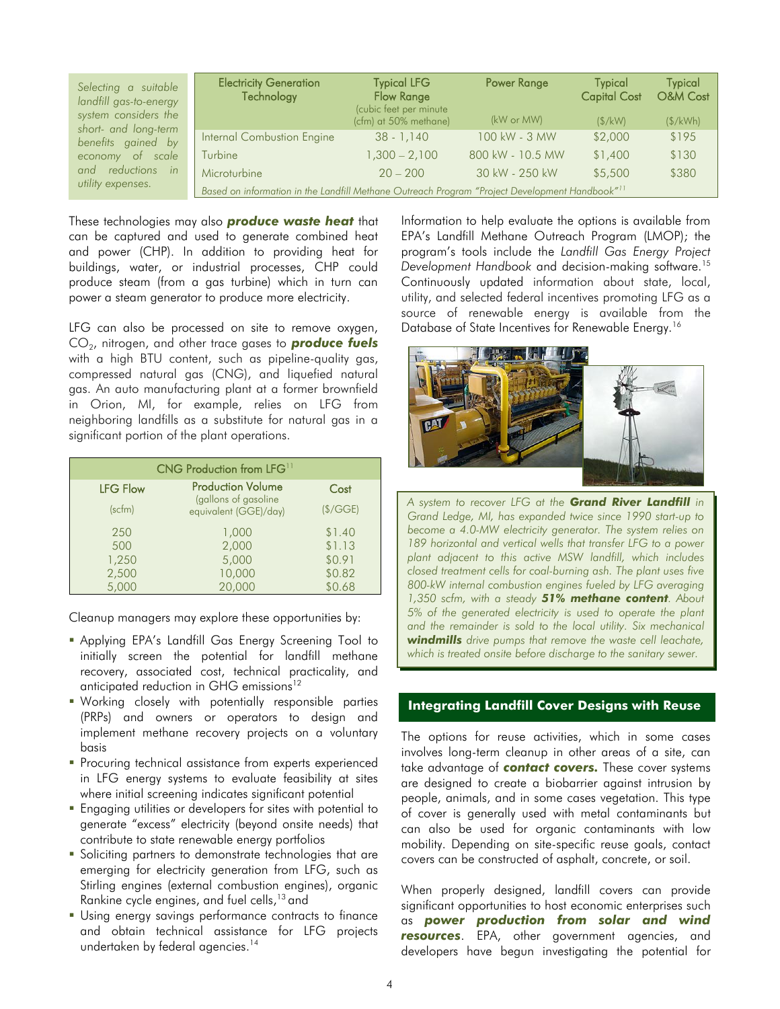| Selecting a suitable<br>landfill gas-to-energy<br>system considers the<br>short- and long-term | <b>Electricity Generation</b><br>Technology                                                                | <b>Typical LFG</b><br><b>Flow Range</b><br>(cubic feet per minute<br>(cfm) at 50% methane) | <b>Power Range</b><br>(kW or MW) | <b>Typical</b><br><b>Capital Cost</b><br>(S/kW) | <b>Typical</b><br><b>O&amp;M Cost</b><br>(S/kWh) |
|------------------------------------------------------------------------------------------------|------------------------------------------------------------------------------------------------------------|--------------------------------------------------------------------------------------------|----------------------------------|-------------------------------------------------|--------------------------------------------------|
| benefits gained by                                                                             | Internal Combustion Engine                                                                                 | $38 - 1.140$                                                                               | 100 kW - 3 MW                    | \$2,000                                         | \$195                                            |
| economy of scale                                                                               | Turbine                                                                                                    | $1,300 - 2,100$                                                                            | 800 kW - 10.5 MW                 | \$1,400                                         | \$130                                            |
| and reductions in<br>utility expenses.                                                         | Microturbine                                                                                               | $20 - 200$                                                                                 | 30 kW - 250 kW                   | \$5,500                                         | \$380                                            |
|                                                                                                | Based on information in the Landfill Methane Outreach Program "Project Development Handbook" <sup>11</sup> |                                                                                            |                                  |                                                 |                                                  |

These technologies may also *produce waste heat* that can be captured and used to generate combined heat and power (CHP). In addition to providing heat for buildings, water, or industrial processes, CHP could produce steam (from a gas turbine) which in turn can power a steam generator to produce more electricity.

LFG can also be processed on site to remove oxygen, CO<sub>2</sub>, nitrogen, and other trace gases to **produce fuels** with a high BTU content, such as pipeline-quality gas, compressed natural gas (CNG), and liquefied natural gas. An auto manufacturing plant at a former brownfield in Orion, MI, for example, relies on LFG from neighboring landfills as a substitute for natural gas in a significant portion of the plant operations.

| CNG Production from LFG <sup>11</sup> |                                               |         |  |  |
|---------------------------------------|-----------------------------------------------|---------|--|--|
| <b>LFG Flow</b>                       | <b>Production Volume</b>                      | Cost    |  |  |
| (scfm)                                | (gallons of gasoline<br>equivalent (GGE)/day) | (S/GGE) |  |  |
| 250                                   | 1,000                                         | \$1.40  |  |  |
| 500                                   | 2,000                                         | \$1.13  |  |  |
| 1,250                                 | 5,000                                         | \$0.91  |  |  |
| 2,500                                 | 10,000                                        | \$0.82  |  |  |
| 5,000                                 | 20,000                                        | \$0.68  |  |  |

Cleanup managers may explore these opportunities by:

- Applying EPA's Landfill Gas Energy Screening Tool to initially screen the potential for landfill methane recovery, associated cost, technical practicality, and anticipated reduction in GHG emissions<sup>12</sup>
- Working closely with potentially responsible parties (PRPs) and owners or operators to design and implement methane recovery projects on a voluntary basis
- **Procuring technical assistance from experts experienced** in LFG energy systems to evaluate feasibility at sites where initial screening indicates significant potential
- **Engaging utilities or developers for sites with potential to** generate "excess" electricity (beyond onsite needs) that contribute to state renewable energy portfolios
- **Soliciting partners to demonstrate technologies that are** emerging for electricity generation from LFG, such as Stirling engines (external combustion engines), organic Rankine cycle engines, and fuel cells, <sup>13</sup> and
- Using energy savings performance contracts to finance and obtain technical assistance for LFG projects undertaken by federal agencies. 14

Information to help evaluate the options is available from EPA's Landfill Methane Outreach Program (LMOP); the program's tools include the *Landfill Gas Energy Project Development Handbook* and decision-making software.<sup>15</sup> Continuously updated information about state, local, utility, and selected federal incentives promoting LFG as a source of renewable energy is available from the Database of State Incentives for Renewable Energy.<sup>16</sup>



*A system to recover LFG at the Grand River Landfill in Grand Ledge, MI, has expanded twice since 1990 start-up to become a 4.0-MW electricity generator. The system relies on 189 horizontal and vertical wells that transfer LFG to a power plant adjacent to this active MSW landfill, which includes closed treatment cells for coal-burning ash. The plant uses five 800-kW internal combustion engines fueled by LFG averaging 1,350 scfm, with a steady 51% methane content. About 5% of the generated electricity is used to operate the plant and the remainder is sold to the local utility. Six mechanical windmills drive pumps that remove the waste cell leachate, which is treated onsite before discharge to the sanitary sewer.* 

#### **Integrating Landfill Cover Designs with Reuse**

The options for reuse activities, which in some cases involves long-term cleanup in other areas of a site, can take advantage of *contact covers.* These cover systems are designed to create a biobarrier against intrusion by people, animals, and in some cases vegetation. This type of cover is generally used with metal contaminants but can also be used for organic contaminants with low mobility. Depending on site-specific reuse goals, contact covers can be constructed of asphalt, concrete, or soil.

When properly designed, landfill covers can provide significant opportunities to host economic enterprises such as *power production from solar and wind resources*. EPA, other government agencies, and developers have begun investigating the potential for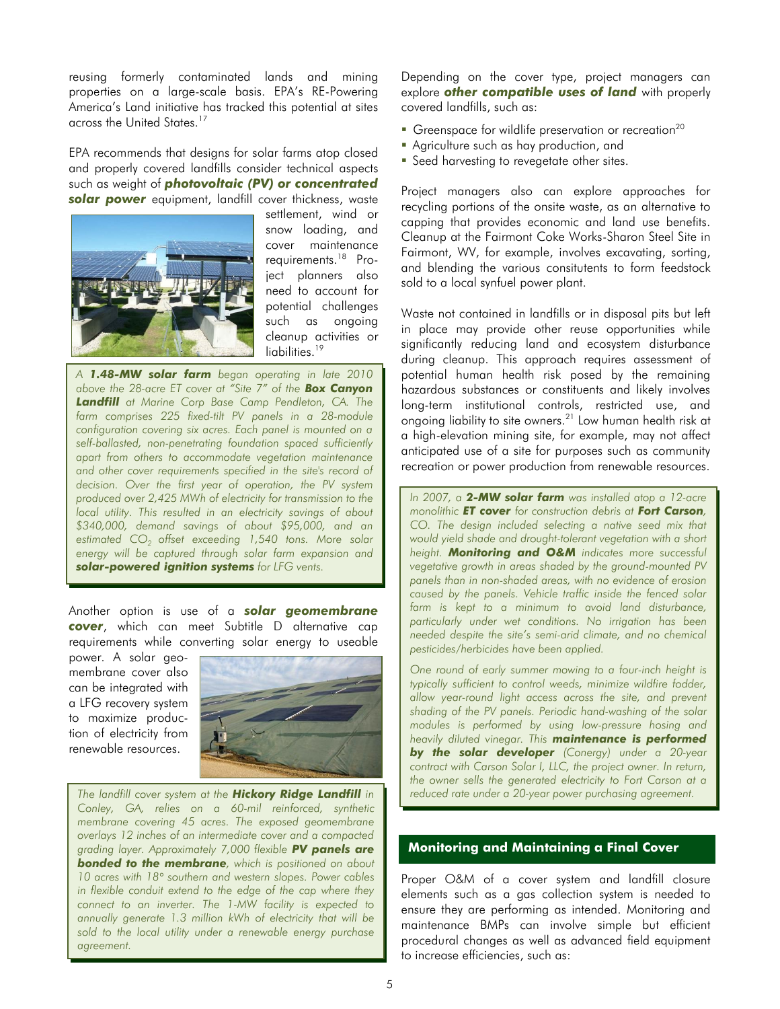reusing formerly contaminated lands and mining properties on a large-scale basis. EPA's RE-Powering America's Land initiative has tracked this potential at sites across the United States.<sup>1</sup>

EPA recommends that designs for solar farms atop closed and properly covered landfills consider technical aspects such as weight of *photovoltaic (PV) or concentrated solar power* equipment, landfill cover thickness, waste



settlement, wind or snow loading, and cover maintenance requirements. 18 Project planners also need to account for potential challenges such as ongoing cleanup activities or liabilities. 19

*A 1.48-MW solar farm began operating in late 2010 above the 28-acre ET cover at "Site 7" of the Box Canyon Landfill at Marine Corp Base Camp Pendleton, CA. The farm comprises 225 fixed-tilt PV panels in a 28-module configuration covering six acres. Each panel is mounted on a self-ballasted, non-penetrating foundation spaced sufficiently apart from others to accommodate vegetation maintenance and other cover requirements specified in the site's record of decision. Over the first year of operation, the PV system produced over 2,425 MWh of electricity for transmission to the local utility. This resulted in an electricity savings of about \$340,000, demand savings of about \$95,000, and an estimated CO<sup>2</sup> offset exceeding 1,540 tons. More solar energy will be captured through solar farm expansion and solar-powered ignition systems for LFG vents.* 

Another option is use of a *solar geomembrane cover*, which can meet Subtitle D alternative cap requirements while converting solar energy to useable

power. A solar geomembrane cover also can be integrated with a LFG recovery system to maximize production of electricity from renewable resources.



*The landfill cover system at the Hickory Ridge Landfill in Conley, GA, relies on a 60-mil reinforced, synthetic membrane covering 45 acres. The exposed geomembrane overlays 12 inches of an intermediate cover and a compacted grading layer. Approximately 7,000 flexible PV panels are bonded to the membrane, which is positioned on about 10 acres with 18° southern and western slopes. Power cables in flexible conduit extend to the edge of the cap where they connect to an inverter. The 1-MW facility is expected to annually generate 1.3 million kWh of electricity that will be sold to the local utility under a renewable energy purchase agreement.*

Depending on the cover type, project managers can explore *other compatible uses of land* with properly covered landfills, such as:

- Greenspace for wildlife preservation or recreation<sup>20</sup>
- Agriculture such as hay production, and
- **Seed harvesting to revegetate other sites.**

Project managers also can explore approaches for recycling portions of the onsite waste, as an alternative to capping that provides economic and land use benefits. Cleanup at the Fairmont Coke Works-Sharon Steel Site in Fairmont, WV, for example, involves excavating, sorting, and blending the various consitutents to form feedstock sold to a local synfuel power plant.

Waste not contained in landfills or in disposal pits but left in place may provide other reuse opportunities while significantly reducing land and ecosystem disturbance during cleanup. This approach requires assessment of potential human health risk posed by the remaining hazardous substances or constituents and likely involves long-term institutional controls, restricted use, and ongoing liability to site owners.<sup>21</sup> Low human health risk at a high-elevation mining site, for example, may not affect anticipated use of a site for purposes such as community recreation or power production from renewable resources.

*In 2007, a 2-MW solar farm was installed atop a 12-acre monolithic ET cover for construction debris at Fort Carson, CO. The design included selecting a native seed mix that would yield shade and drought-tolerant vegetation with a short height. Monitoring and O&M indicates more successful vegetative growth in areas shaded by the ground-mounted PV panels than in non-shaded areas, with no evidence of erosion caused by the panels. Vehicle traffic inside the fenced solar farm is kept to a minimum to avoid land disturbance, particularly under wet conditions. No irrigation has been needed despite the site's semi-arid climate, and no chemical pesticides/herbicides have been applied.* 

*One round of early summer mowing to a four-inch height is typically sufficient to control weeds, minimize wildfire fodder, allow year-round light access across the site, and prevent shading of the PV panels. Periodic hand-washing of the solar modules is performed by using low-pressure hosing and heavily diluted vinegar. This maintenance is performed by the solar developer (Conergy) under a 20-year contract with Carson Solar I, LLC, the project owner. In return, the owner sells the generated electricity to Fort Carson at a reduced rate under a 20-year power purchasing agreement.* 

### **Monitoring and Maintaining a Final Cover**

Proper O&M of a cover system and landfill closure elements such as a gas collection system is needed to ensure they are performing as intended. Monitoring and maintenance BMPs can involve simple but efficient procedural changes as well as advanced field equipment to increase efficiencies, such as: